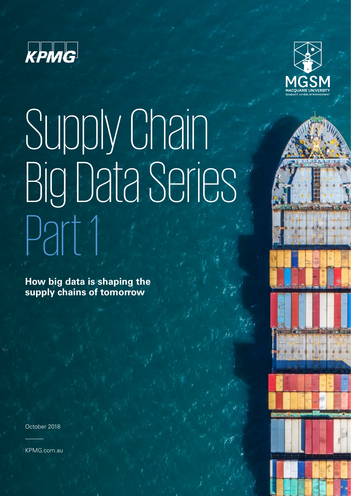



# Supply Chain Big Data Series Part 1

**How big data is shaping the supply chains of tomorrow**

October 2018

KPMG.com.au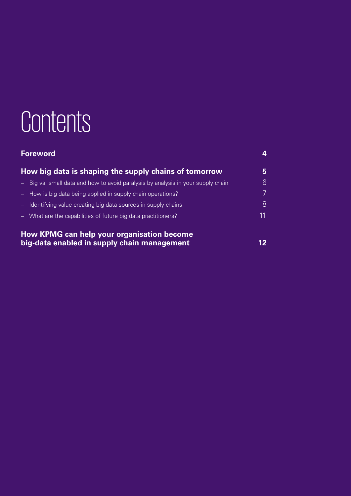## **Contents**

| <b>Foreword</b>                                                                           | 4  |
|-------------------------------------------------------------------------------------------|----|
| How big data is shaping the supply chains of tomorrow                                     | 5. |
| - Big vs. small data and how to avoid paralysis by analysis in your supply chain          | 6  |
| - How is big data being applied in supply chain operations?                               |    |
| - Identifying value-creating big data sources in supply chains                            | 8  |
| - What are the capabilities of future big data practitioners?                             | 11 |
| How KPMG can help your organisation become<br>big-data enabled in supply chain management |    |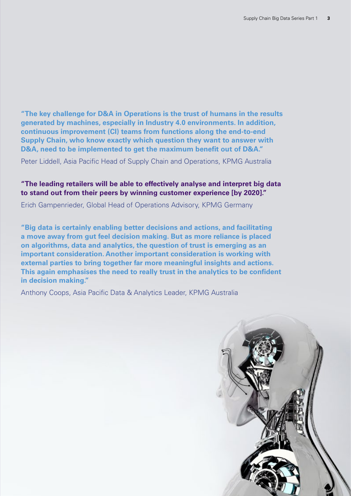**"The key challenge for D&A in Operations is the trust of humans in the results generated by machines, especially in Industry 4.0 environments. In addition, continuous improvement (CI) teams from functions along the end-to-end Supply Chain, who know exactly which question they want to answer with D&A, need to be implemented to get the maximum benefit out of D&A."**

Peter Liddell, Asia Pacific Head of Supply Chain and Operations, KPMG Australia

#### **"The leading retailers will be able to effectively analyse and interpret big data to stand out from their peers by winning customer experience [by 2020]."**

Erich Gampenrieder, Global Head of Operations Advisory, KPMG Germany

**"Big data is certainly enabling better decisions and actions, and facilitating a move away from gut feel decision making. But as more reliance is placed on algorithms, data and analytics, the question of trust is emerging as an important consideration. Another important consideration is working with external parties to bring together far more meaningful insights and actions. This again emphasises the need to really trust in the analytics to be confident in decision making."**

Anthony Coops, Asia Pacific Data & Analytics Leader, KPMG Australia

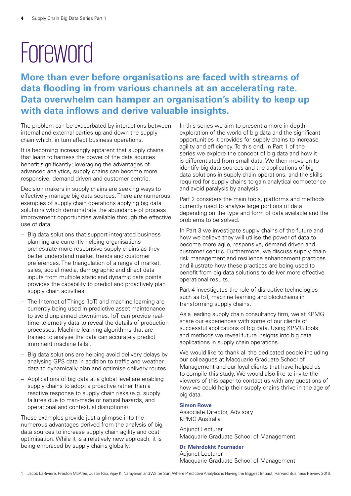## <span id="page-3-0"></span>**Foreword**

**More than ever before organisations are faced with streams of data flooding in from various channels at an accelerating rate. Data overwhelm can hamper an organisation's ability to keep up with data inflows and derive valuable insights.**

The problem can be exacerbated by interactions between internal and external parties up and down the supply chain which, in turn affect business operations.

It is becoming increasingly apparent that supply chains that learn to harness the power of the data sources benefit significantly; leveraging the advantages of advanced analytics, supply chains can become more responsive, demand driven and customer centric.

Decision makers in supply chains are seeking ways to effectively manage big data sources. There are numerous examples of supply chain operations applying big data solutions which demonstrate the abundance of process improvement opportunities available through the effective use of data:

- Big data solutions that support integrated business planning are currently helping organisations orchestrate more responsive supply chains as they better understand market trends and customer preferences. The triangulation of a range of market, sales, social media, demographic and direct data inputs from multiple static and dynamic data points provides the capability to predict and proactively plan supply chain activities.
- The Internet of Things (IoT) and machine learning are currently being used in predictive asset maintenance to avoid unplanned downtimes. IoT can provide realtime telemetry data to reveal the details of production processes. Machine learning algorithms that are trained to analyse the data can accurately predict imminent machine fails<sup>1</sup>.
- Big data solutions are helping avoid delivery delays by analysing GPS data in addition to traffic and weather data to dynamically plan and optimise delivery routes.
- Applications of big data at a global level are enabling supply chains to adopt a proactive rather than a reactive response to supply chain risks (e.g. supply failures due to man-made or natural hazards, and operational and contextual disruptions).

These examples provide just a glimpse into the numerous advantages derived from the analysis of big data sources to increase supply chain agility and cost optimisation. While it is a relatively new approach, it is being embraced by supply chains globally.

In this series we aim to present a more in-depth exploration of the world of big data and the significant opportunities it provides for supply chains to increase agility and efficiency. To this end, in Part 1 of the series we explore the concept of big data and how it is differentiated from small data. We then move on to identify big data sources and the applications of big data solutions in supply chain operations, and the skills required for supply chains to gain analytical competence and avoid paralysis by analysis.

Part 2 considers the main tools, platforms and methods currently used to analyse large portions of data depending on the type and form of data available and the problems to be solved.

In Part 3 we investigate supply chains of the future and how we believe they will utilise the power of data to become more agile, responsive, demand driven and customer centric. Furthermore, we discuss supply chain risk management and resilience enhancement practices and illustrate how these practices are being used to benefit from big data solutions to deliver more effective operational results.

Part 4 investigates the role of disruptive technologies such as IoT, machine learning and blockchains in transforming supply chains.

As a leading supply chain consultancy firm, we at KPMG share our experiences with some of our clients of successful applications of big data. Using KPMG tools and methods we reveal future insights into big data applications in supply chain operations.

We would like to thank all the dedicated people including our colleagues at Macquarie Graduate School of Management and our loyal clients that have helped us to compile this study. We would also like to invite the viewers of this paper to contact us with any questions of how we could help their supply chains thrive in the age of big data.

#### **Simon Rowe**

Associate Director, Advisory KPMG Australia

Adjunct Lecturer Macquarie Graduate School of Management

#### **Dr. Mehrdokht Pournader**

Adjunct Lecturer Macquarie Graduate School of Management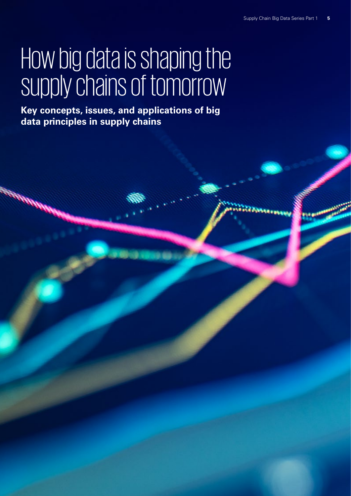## <span id="page-4-0"></span>How big data is shaping the supply chains of tomorrow

**Key concepts, issues, and applications of big data principles in supply chains**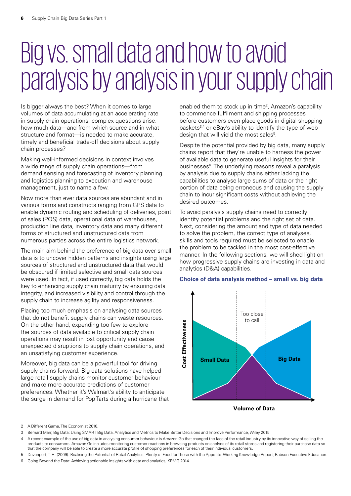### <span id="page-5-0"></span>Big vs. small data and how to avoid paralysis by analysis in your supply chain

Is bigger always the best? When it comes to large volumes of data accumulating at an accelerating rate in supply chain operations, complex questions arise: how much data—and from which source and in what structure and format—is needed to make accurate, timely and beneficial trade-off decisions about supply chain processes?

Making well-informed decisions in context involves a wide range of supply chain operations—from demand sensing and forecasting of inventory planning and logistics planning to execution and warehouse management, just to name a few.

Now more than ever data sources are abundant and in various forms and constructs ranging from GPS data to enable dynamic routing and scheduling of deliveries, point of sales (POS) data, operational data of warehouses, production line data, inventory data and many different forms of structured and unstructured data from numerous parties across the entire logistics network.

The main aim behind the preference of big data over small data is to uncover hidden patterns and insights using large sources of structured and unstructured data that would be obscured if limited selective and small data sources were used. In fact, if used correctly, big data holds the key to enhancing supply chain maturity by ensuring data integrity, and increased visibility and control through the supply chain to increase agility and responsiveness.

Placing too much emphasis on analysing data sources that do not benefit supply chains can waste resources. On the other hand, expending too few to explore the sources of data available to critical supply chain operations may result in lost opportunity and cause unexpected disruptions to supply chain operations, and an unsatisfying customer experience.

Moreover, big data can be a powerful tool for driving supply chains forward. Big data solutions have helped large retail supply chains monitor customer behaviour and make more accurate predictions of customer preferences. Whether it's Walmart's ability to anticipate the surge in demand for Pop Tarts during a hurricane that

enabled them to stock up in time<sup>2</sup>, Amazon's capability to commence fulfilment and shipping processes before customers even place goods in digital shopping baskets<sup>3,4</sup> or eBay's ability to identify the type of web design that will yield the most sales<sup>5</sup>.

Despite the potential provided by big data, many supply chains report that they're unable to harness the power of available data to generate useful insights for their businesses<sup>6</sup>. The underlying reasons reveal a paralysis by analysis due to supply chains either lacking the capabilities to analyse large sums of data or the right portion of data being erroneous and causing the supply chain to incur significant costs without achieving the desired outcomes.

To avoid paralysis supply chains need to correctly identify potential problems and the right set of data. Next, considering the amount and type of data needed to solve the problem, the correct type of analyses, skills and tools required must be selected to enable the problem to be tackled in the most cost-effective manner. In the following sections, we will shed light on how progressive supply chains are investing in data and analytics (D&A) capabilities.

#### **Choice of data analysis method – small vs. big data**



**Volume of Data** 

2 A Different Game, The Economist 2010.

- 4 A recent example of the use of big data in analysing consumer behaviour is Amazon Go that changed the face of the retail industry by its innovative way of selling the products to consumers. Amazon Go includes monitoring customer reactions in browsing products on shelves of its retail stores and registering their purchase data so that the company will be able to create a more accurate profile of shopping preferences for each of their individual customers.
- 5 Davenport, T. H. (2009). Realising the Potential of Retail Analytics: Plenty of Food for Those with the Appetite. Working Knowledge Report, Babson Executive Education.
- 6 Going Beyond the Data: Achieving actionable insights with data and analytics, KPMG 2014.

<sup>3</sup> Bernard Marr, Big Data: Using SMART Big Data, Analytics and Metrics to Make Better Decisions and Improve Performance, Wiley 2015.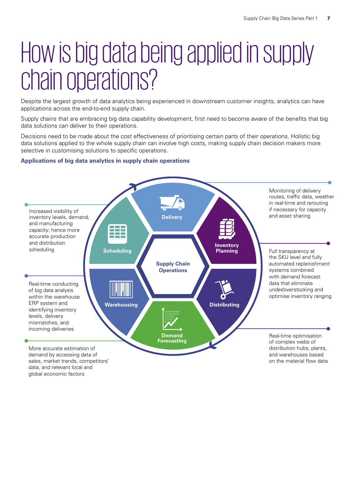### <span id="page-6-0"></span>How is big data being applied in supply chain operations?

Despite the largest growth of data analytics being experienced in downstream customer insights, analytics can have applications across the end-to-end supply chain.

Supply chains that are embracing big data capability development, first need to become aware of the benefits that big data solutions can deliver to their operations.

Decisions need to be made about the cost effectiveness of prioritising certain parts of their operations. Holistic big data solutions applied to the whole supply chain can involve high costs, making supply chain decision makers more selective in customising solutions to specific operations.

#### **Applications of big data analytics in supply chain operations**



data, and relevant local and global economic factors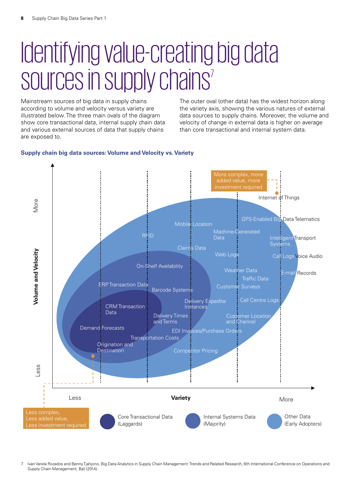### <span id="page-7-0"></span>Identifying value-creating big data sources in supply chains<sup>7</sup>

Mainstream sources of big data in supply chains according to volume and velocity versus variety are illustrated below. The three main ovals of the diagram show core transactional data, internal supply chain data and various external sources of data that supply chains are exposed to.

The outer oval (other data) has the widest horizon along the variety axis, showing the various natures of external data sources to supply chains. Moreover, the volume and velocity of change in external data is higher on average than core transactional and internal system data.

#### **Supply chain big data sources: Volume and Velocity vs. Variety**



7 Ivan Varela Rozados and Benny Tjahjono, Big Data Analytics in Supply Chain Management: Trends and Related Research, 6th International Conference on Operations and Supply Chain Management, Bali (2014).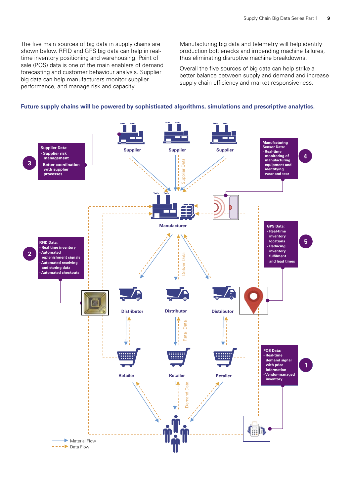The five main sources of big data in supply chains are shown below. RFID and GPS big data can help in realtime inventory positioning and warehousing. Point of sale (POS) data is one of the main enablers of demand forecasting and customer behaviour analysis. Supplier big data can help manufacturers monitor supplier performance, and manage risk and capacity.

Manufacturing big data and telemetry will help identify production bottlenecks and impending machine failures, thus eliminating disruptive machine breakdowns.

Overall the five sources of big data can help strike a better balance between supply and demand and increase supply chain efficiency and market responsiveness.



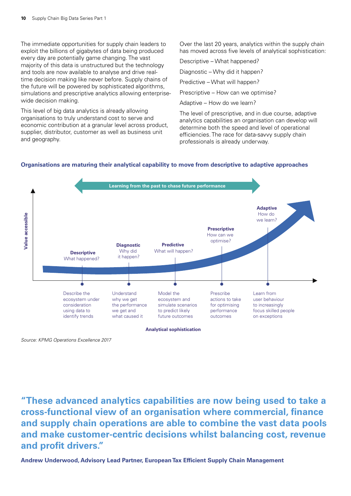The immediate opportunities for supply chain leaders to exploit the billions of gigabytes of data being produced every day are potentially game changing. The vast majority of this data is unstructured but the technology and tools are now available to analyse and drive realtime decision making like never before. Supply chains of the future will be powered by sophisticated algorithms, simulations and prescriptive analytics allowing enterprisewide decision making.

This level of big data analytics is already allowing organisations to truly understand cost to serve and economic contribution at a granular level across product, supplier, distributor, customer as well as business unit and geography.

Over the last 20 years, analytics within the supply chain has moved across five levels of analytical sophistication:

Descriptive – What happened?

Diagnostic – Why did it happen?

Predictive – What will happen?

Prescriptive – How can we optimise?

Adaptive – How do we learn?

The level of prescriptive, and in due course, adaptive analytics capabilities an organisation can develop will determine both the speed and level of operational efficiencies. The race for data-savvy supply chain professionals is already underway.

#### **Organisations are maturing their analytical capability to move from descriptive to adaptive approaches**



*Source: KPMG Operations Excellence 2017*

**"These advanced analytics capabilities are now being used to take a cross-functional view of an organisation where commercial, finance and supply chain operations are able to combine the vast data pools and make customer-centric decisions whilst balancing cost, revenue and profit drivers."**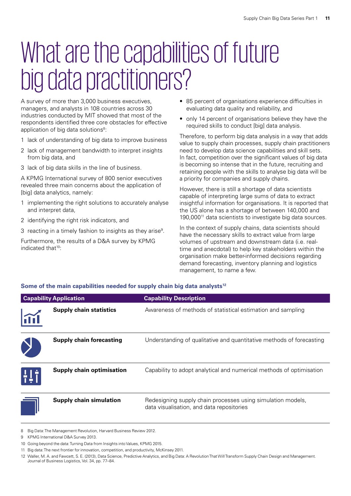## <span id="page-10-0"></span>What are the capabilities of future big data practitioners?

A survey of more than 3,000 business executives, managers, and analysts in 108 countries across 30 industries conducted by MIT showed that most of the respondents identified three core obstacles for effective application of big data solutions<sup>8</sup>:

- 1 lack of understanding of big data to improve business
- 2 lack of management bandwidth to interpret insights from big data, and
- 3 lack of big data skills in the line of business.

A KPMG International survey of 800 senior executives revealed three main concerns about the application of [big] data analytics, namely:

- 1 implementing the right solutions to accurately analyse and interpret data,
- 2 identifying the right risk indicators, and
- 3 reacting in a timely fashion to insights as they arise<sup>9</sup>.

Furthermore, the results of a D&A survey by KPMG indicated that<sup>10</sup>:

- 85 percent of organisations experience difficulties in evaluating data quality and reliability, and
- only 14 percent of organisations believe they have the required skills to conduct [big] data analysis.

Therefore, to perform big data analysis in a way that adds value to supply chain processes, supply chain practitioners need to develop data science capabilities and skill sets. In fact, competition over the significant values of big data is becoming so intense that in the future, recruiting and retaining people with the skills to analyse big data will be a priority for companies and supply chains.

However, there is still a shortage of data scientists capable of interpreting large sums of data to extract insightful information for organisations. It is reported that the US alone has a shortage of between 140,000 and 190,00011 data scientists to investigate big data sources.

In the context of supply chains, data scientists should have the necessary skills to extract value from large volumes of upstream and downstream data (i.e. realtime and anecdotal) to help key stakeholders within the organisation make better-informed decisions regarding demand forecasting, inventory planning and logistics management, to name a few.

### **Capability Application Capability Description Supply chain statistics** Awareness of methods of statistical estimation and sampling n II D **Supply chain forecasting** Understanding of qualitative and quantitative methods of forecasting **Supply chain optimisation** Capability to adopt analytical and numerical methods of optimisation **Supply chain simulation** Redesigning supply chain processes using simulation models, data visualisation, and data repositories

#### Some of the main capabilities needed for supply chain big data analysts<sup>12</sup>

- 9 KPMG International D&A Survey 2013.
- 10 Going beyond the data: Turning Data from Insights into Values, KPMG 2015.
- 11 Big data: The next frontier for innovation, competition, and productivity, McKinsey 2011.
- 12 Waller, M. A. and Fawcett, S. E. (2013), Data Science, Predictive Analytics, and Big Data: A Revolution That Will Transform Supply Chain Design and Management. Journal of Business Logistics, Vol. 34, pp. 77–84.

<sup>8</sup> Big Data: The Management Revolution, Harvard Business Review 2012.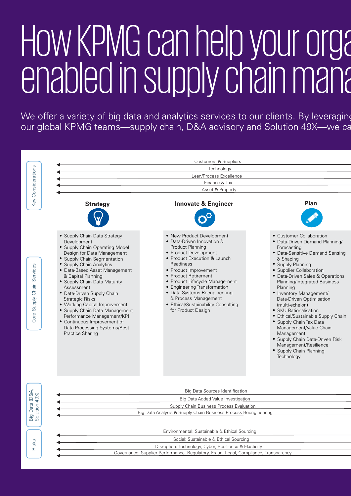# <span id="page-11-0"></span>How KPMG can help your orga enabled in supply chain management

We offer a variety of big data and analytics services to our clients. By leveraging our global KPMG teams—supply chain, D&A advisory and Solution 49X—we can

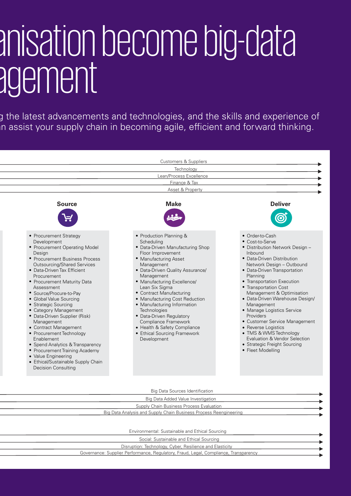## anisation become big-data agement

g the latest advancements and technologies, and the skills and experience of n assist your supply chain in becoming agile, efficient and forward thinking.



Supply Chain Business Process Evaluation Big Data Analysis and Supply Chain Business Process Reengineering

Environmental: Sustainable and Ethical Sourcing

| Social: Sustainable and Ethical Sourcing                                             |  |
|--------------------------------------------------------------------------------------|--|
| Disruption: Technology, Cyber, Resilience and Elasticity                             |  |
| Governance: Supplier Performance, Regulatory, Fraud, Legal, Compliance, Transparency |  |
|                                                                                      |  |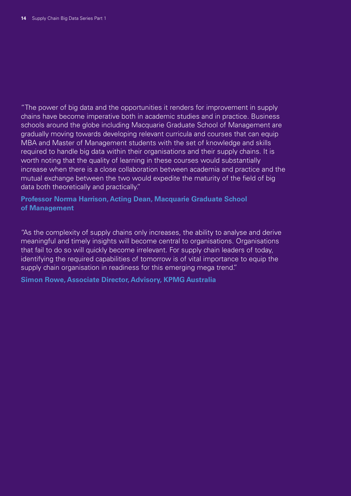"The power of big data and the opportunities it renders for improvement in supply chains have become imperative both in academic studies and in practice. Business schools around the globe including Macquarie Graduate School of Management are gradually moving towards developing relevant curricula and courses that can equip MBA and Master of Management students with the set of knowledge and skills required to handle big data within their organisations and their supply chains. It is worth noting that the quality of learning in these courses would substantially increase when there is a close collaboration between academia and practice and the mutual exchange between the two would expedite the maturity of the field of big data both theoretically and practically."

#### **Professor Norma Harrison, Acting Dean, Macquarie Graduate School of Management**

"As the complexity of supply chains only increases, the ability to analyse and derive meaningful and timely insights will become central to organisations. Organisations that fail to do so will quickly become irrelevant. For supply chain leaders of today, identifying the required capabilities of tomorrow is of vital importance to equip the supply chain organisation in readiness for this emerging mega trend."

#### **Simon Rowe, Associate Director, Advisory, KPMG Australia**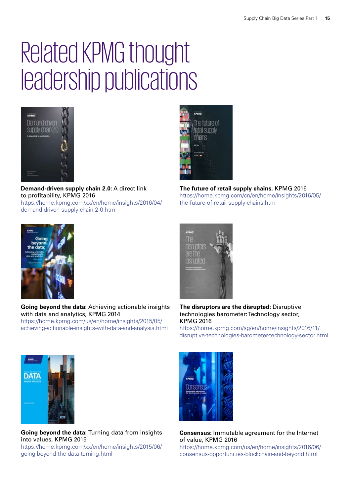## Related KPMG thought leadership publications



**Demand-driven supply chain 2.0:** A direct link to profitability, KPMG 2016 https://home.kpmg.com/xx/en/home/insights/2016/04/ demand-driven-supply-chain-2-0.html



**The future of retail supply chains**, KPMG 2016 https://home.kpmg.com/cn/en/home/insights/2016/05/ the-future-of-retail-supply-chains.html



**Going beyond the data:** Achieving actionable insights with data and analytics, KPMG 2014 https://home.kpmg.com/us/en/home/insights/2015/05/ achieving-actionable-insights-with-data-and-analysis.html



**The disruptors are the disrupted:** Disruptive technologies barometer: Technology sector, KPMG 2016

https://home.kpmg.com/sg/en/home/insights/2016/11/ disruptive-technologies-barometer-technology-sector.html



**Going beyond the data:** Turning data from insights into values, KPMG 2015 https://home.kpmg.com/xx/en/home/insights/2015/06/ going-beyond-the-data-turning.html



#### **Consensus:** Immutable agreement for the Internet of value, KPMG 2016

https://home.kpmg.com/us/en/home/insights/2016/06/ consensus-opportunities-blockchain-and-beyond.html